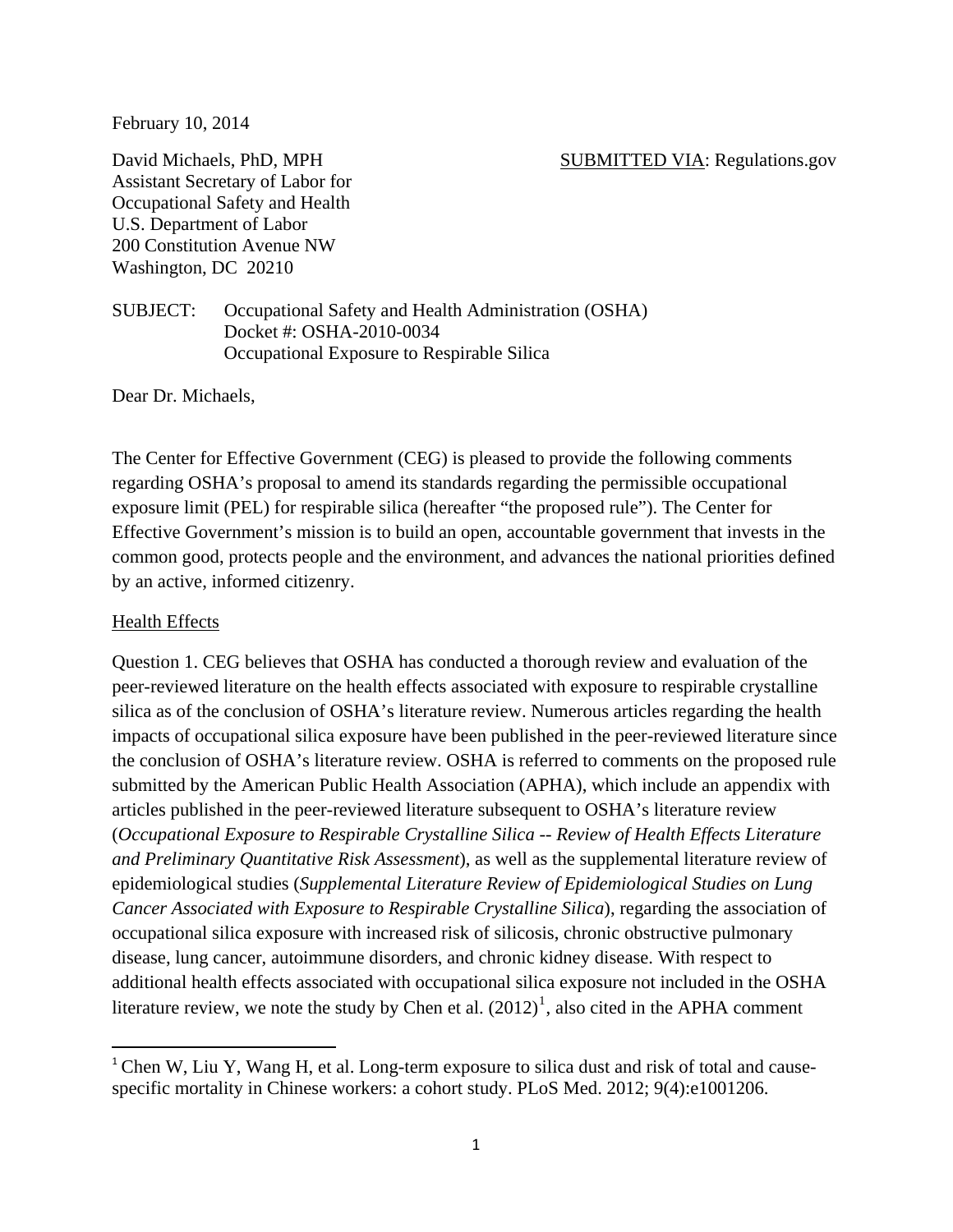February 10, 2014

Assistant Secretary of Labor for Occupational Safety and Health U.S. Department of Labor 200 Constitution Avenue NW Washington, DC 20210

### David Michaels, PhD, MPH SUBMITTED VIA: Regulations.gov

SUBJECT: Occupational Safety and Health Administration (OSHA) Docket #: OSHA-2010-0034 Occupational Exposure to Respirable Silica

Dear Dr. Michaels,

The Center for Effective Government (CEG) is pleased to provide the following comments regarding OSHA's proposal to amend its standards regarding the permissible occupational exposure limit (PEL) for respirable silica (hereafter "the proposed rule"). The Center for Effective Government's mission is to build an open, accountable government that invests in the common good, protects people and the environment, and advances the national priorities defined by an active, informed citizenry.

### Health Effects

Question 1. CEG believes that OSHA has conducted a thorough review and evaluation of the peer-reviewed literature on the health effects associated with exposure to respirable crystalline silica as of the conclusion of OSHA's literature review. Numerous articles regarding the health impacts of occupational silica exposure have been published in the peer-reviewed literature since the conclusion of OSHA's literature review. OSHA is referred to comments on the proposed rule submitted by the American Public Health Association (APHA), which include an appendix with articles published in the peer-reviewed literature subsequent to OSHA's literature review (*Occupational Exposure to Respirable Crystalline Silica -- Review of Health Effects Literature and Preliminary Quantitative Risk Assessment*), as well as the supplemental literature review of epidemiological studies (*Supplemental Literature Review of Epidemiological Studies on Lung Cancer Associated with Exposure to Respirable Crystalline Silica*), regarding the association of occupational silica exposure with increased risk of silicosis, chronic obstructive pulmonary disease, lung cancer, autoimmune disorders, and chronic kidney disease. With respect to additional health effects associated with occupational silica exposure not included in the OSHA literature review, we note the study by Chen et al.  $(2012)^1$  $(2012)^1$  $(2012)^1$ , also cited in the APHA comment

<span id="page-0-0"></span> $1$  Chen W, Liu Y, Wang H, et al. Long-term exposure to silica dust and risk of total and causespecific mortality in Chinese workers: a cohort study. PLoS Med. 2012; 9(4):e1001206.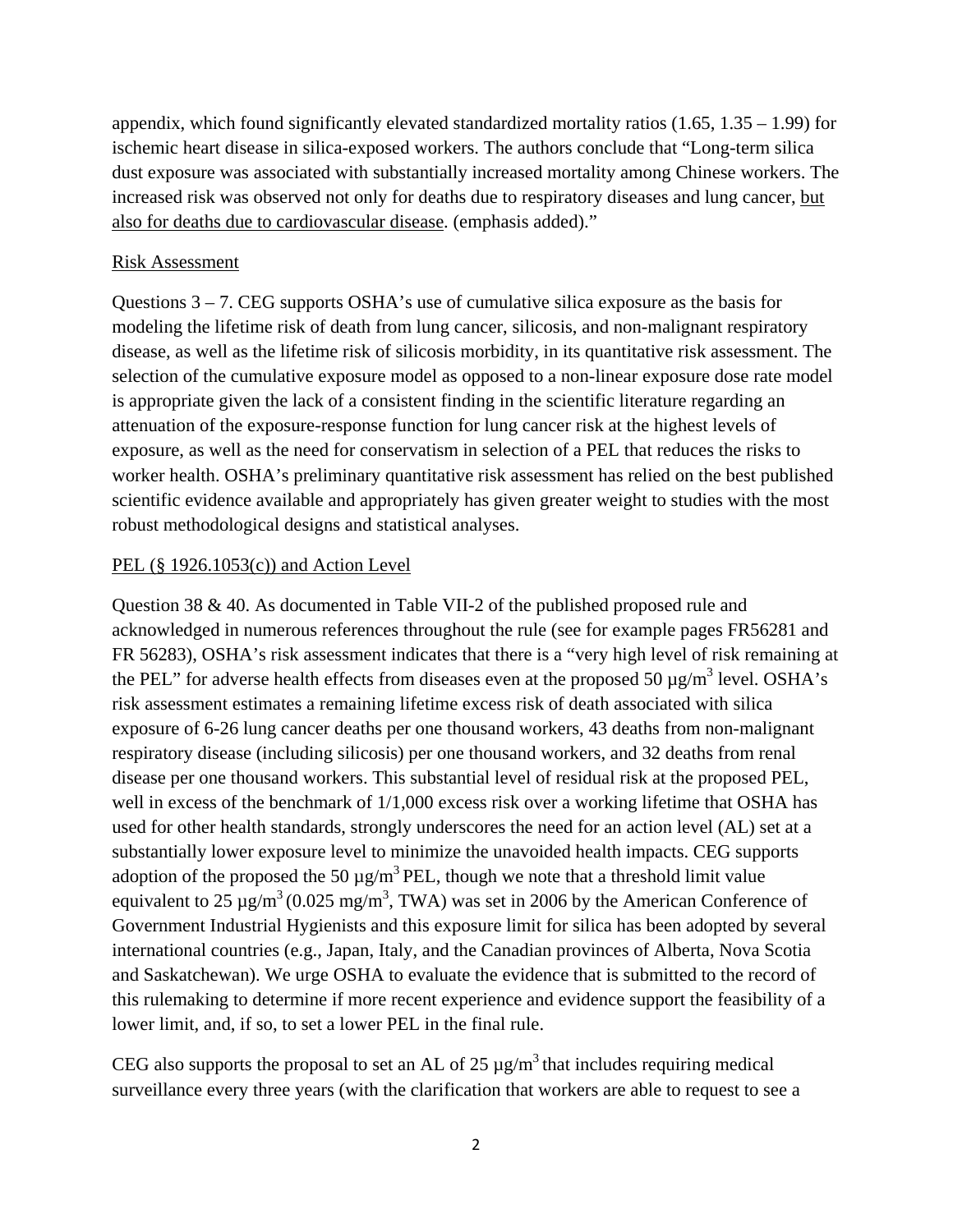appendix, which found significantly elevated standardized mortality ratios  $(1.65, 1.35 - 1.99)$  for ischemic heart disease in silica-exposed workers. The authors conclude that "Long-term silica dust exposure was associated with substantially increased mortality among Chinese workers. The increased risk was observed not only for deaths due to respiratory diseases and lung cancer, but also for deaths due to cardiovascular disease. (emphasis added)."

## Risk Assessment

Questions 3 – 7. CEG supports OSHA's use of cumulative silica exposure as the basis for modeling the lifetime risk of death from lung cancer, silicosis, and non-malignant respiratory disease, as well as the lifetime risk of silicosis morbidity, in its quantitative risk assessment. The selection of the cumulative exposure model as opposed to a non-linear exposure dose rate model is appropriate given the lack of a consistent finding in the scientific literature regarding an attenuation of the exposure-response function for lung cancer risk at the highest levels of exposure, as well as the need for conservatism in selection of a PEL that reduces the risks to worker health. OSHA's preliminary quantitative risk assessment has relied on the best published scientific evidence available and appropriately has given greater weight to studies with the most robust methodological designs and statistical analyses.

## PEL (§ 1926.1053(c)) and Action Level

Question 38 & 40. As documented in Table VII-2 of the published proposed rule and acknowledged in numerous references throughout the rule (see for example pages FR56281 and FR 56283), OSHA's risk assessment indicates that there is a "very high level of risk remaining at the PEL" for adverse health effects from diseases even at the proposed 50  $\mu$ g/m<sup>3</sup> level. OSHA's risk assessment estimates a remaining lifetime excess risk of death associated with silica exposure of 6-26 lung cancer deaths per one thousand workers, 43 deaths from non-malignant respiratory disease (including silicosis) per one thousand workers, and 32 deaths from renal disease per one thousand workers. This substantial level of residual risk at the proposed PEL, well in excess of the benchmark of  $1/1,000$  excess risk over a working lifetime that OSHA has used for other health standards, strongly underscores the need for an action level (AL) set at a substantially lower exposure level to minimize the unavoided health impacts. CEG supports adoption of the proposed the 50  $\mu$ g/m<sup>3</sup> PEL, though we note that a threshold limit value equivalent to 25  $\mu$ g/m<sup>3</sup> (0.025 mg/m<sup>3</sup>, TWA) was set in 2006 by the American Conference of Government Industrial Hygienists and this exposure limit for silica has been adopted by several international countries (e.g., Japan, Italy, and the Canadian provinces of Alberta, Nova Scotia and Saskatchewan). We urge OSHA to evaluate the evidence that is submitted to the record of this rulemaking to determine if more recent experience and evidence support the feasibility of a lower limit, and, if so, to set a lower PEL in the final rule.

CEG also supports the proposal to set an AL of  $25 \mu g/m^3$  that includes requiring medical surveillance every three years (with the clarification that workers are able to request to see a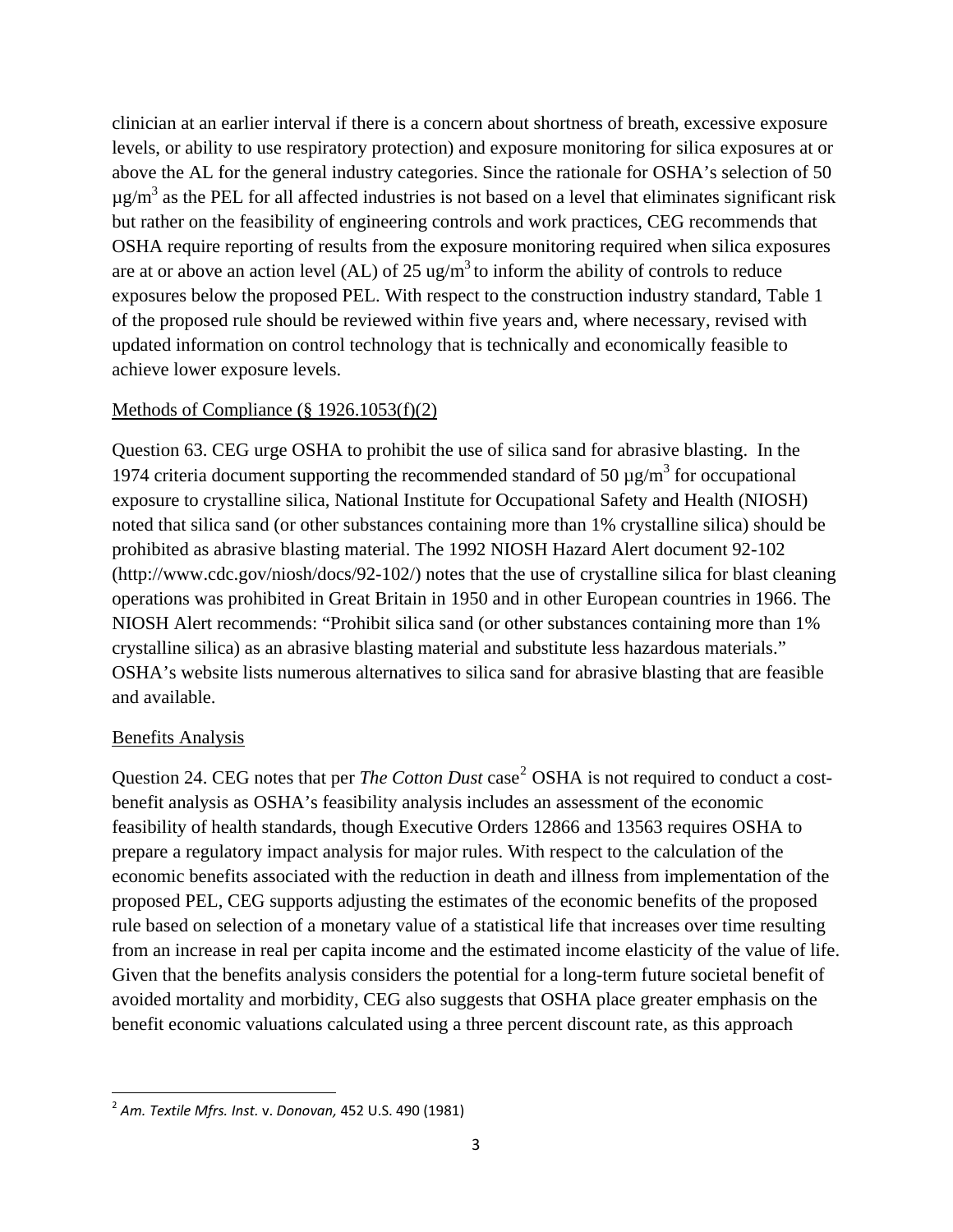clinician at an earlier interval if there is a concern about shortness of breath, excessive exposure levels, or ability to use respiratory protection) and exposure monitoring for silica exposures at or above the AL for the general industry categories. Since the rationale for OSHA's selection of 50  $\mu$ g/m<sup>3</sup> as the PEL for all affected industries is not based on a level that eliminates significant risk but rather on the feasibility of engineering controls and work practices, CEG recommends that OSHA require reporting of results from the exposure monitoring required when silica exposures are at or above an action level (AL) of  $25 \text{ ug/m}^3$  to inform the ability of controls to reduce exposures below the proposed PEL. With respect to the construction industry standard, Table 1 of the proposed rule should be reviewed within five years and, where necessary, revised with updated information on control technology that is technically and economically feasible to achieve lower exposure levels.

### Methods of Compliance (§ 1926.1053(f)(2)

Question 63. CEG urge OSHA to prohibit the use of silica sand for abrasive blasting. In the 1974 criteria document supporting the recommended standard of 50  $\mu$ g/m<sup>3</sup> for occupational exposure to crystalline silica, National Institute for Occupational Safety and Health (NIOSH) noted that silica sand (or other substances containing more than 1% crystalline silica) should be prohibited as abrasive blasting material. The 1992 NIOSH Hazard Alert document 92-102 (http://www.cdc.gov/niosh/docs/92-102/) notes that the use of crystalline silica for blast cleaning operations was prohibited in Great Britain in 1950 and in other European countries in 1966. The NIOSH Alert recommends: "Prohibit silica sand (or other substances containing more than 1% crystalline silica) as an abrasive blasting material and substitute less hazardous materials." OSHA's website lists numerous alternatives to silica sand for abrasive blasting that are feasible and available.

#### Benefits Analysis

Question [2](#page-2-0)4. CEG notes that per *The Cotton Dust* case<sup>2</sup> OSHA is not required to conduct a costbenefit analysis as OSHA's feasibility analysis includes an assessment of the economic feasibility of health standards, though Executive Orders 12866 and 13563 requires OSHA to prepare a regulatory impact analysis for major rules. With respect to the calculation of the economic benefits associated with the reduction in death and illness from implementation of the proposed PEL, CEG supports adjusting the estimates of the economic benefits of the proposed rule based on selection of a monetary value of a statistical life that increases over time resulting from an increase in real per capita income and the estimated income elasticity of the value of life. Given that the benefits analysis considers the potential for a long-term future societal benefit of avoided mortality and morbidity, CEG also suggests that OSHA place greater emphasis on the benefit economic valuations calculated using a three percent discount rate, as this approach

<span id="page-2-0"></span><sup>2</sup> *Am. Textile Mfrs. Inst.* v. *Donovan,* 452 U.S. 490 (1981)